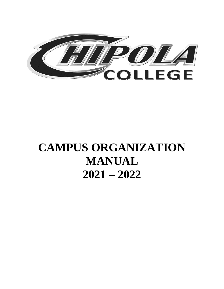

# **CAMPUS ORGANIZATION MANUAL 2021 – 2022**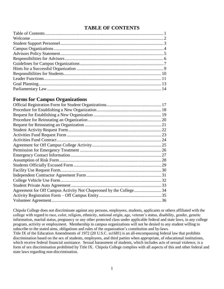# **TABLE OF CONTENTS**

#### **Forms for Campus Organizations**

Chipola College does not discriminate against any persons, employees, students, applicants or others affiliated with the college with regard to race, color, religion, ethnicity, national origin, age, veteran's status, disability, gender, genetic information, marital status, pregnancy or any other protected class under applicable federal and state laws, in any college program, activity or employment. Membership in campus organizations will not be denied to any student willing to subscribe to the stated aims, obligations and rules of the organization's constitution and by-laws. Title IX of the Education Amendments of 1972 (20 U.S.C. ss1681) is an all-encompassing federal law that prohibits discrimination based on the sex of students, employees, and third parties when appropriate, of educational institutions, which receive federal financial assistance. Sexual harassment of students, which includes acts of sexual violence, is a form of sex discrimination prohibited by Title IX. Chipola College complies with all aspects of this and other federal and state laws regarding non-discrimination.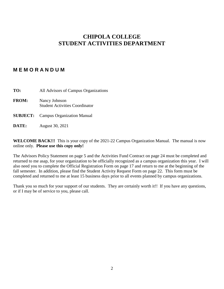# **CHIPOLA COLLEGE STUDENT ACTIVITIES DEPARTMENT**

#### **M E M O R A N D U M**

| TO:          | All Advisors of Campus Organizations                   |
|--------------|--------------------------------------------------------|
| <b>FROM:</b> | Nancy Johnson<br><b>Student Activities Coordinator</b> |
|              | <b>SUBJECT:</b> Campus Organization Manual             |
| DATE:        | August 30, 2021                                        |

**WELCOME BACK!!!** This is your copy of the 2021-22 Campus Organization Manual. The manual is now online only. **Please use this copy only!**

The Advisors Policy Statement on page 5 and the Activities Fund Contract on page 24 must be completed and returned to me asap, for your organization to be officially recognized as a campus organization this year. I will also need you to complete the Official Registration Form on page 17 and return to me at the beginning of the fall semester. In addition, please find the Student Activity Request Form on page 22. This form must be completed and returned to me at least 15 business days prior to all events planned by campus organizations.

Thank you so much for your support of our students. They are certainly worth it!! If you have any questions, or if I may be of service to you, please call.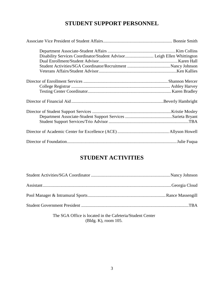# **STUDENT SUPPORT PERSONNEL**

| Disability Services Coordinator/Student Advisor Leigh Ellen Whittington |  |
|-------------------------------------------------------------------------|--|
|                                                                         |  |
|                                                                         |  |
|                                                                         |  |
|                                                                         |  |
|                                                                         |  |
|                                                                         |  |
|                                                                         |  |
|                                                                         |  |
|                                                                         |  |
|                                                                         |  |
|                                                                         |  |
|                                                                         |  |

# **STUDENT ACTIVITIES**

The SGA Office is located in the Cafeteria/Student Center (Bldg. K), room 105.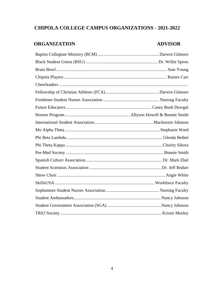# **CHIPOLA COLLEGE CAMPUS ORGANIZATIONS - 2021-2022**

# **ORGANIZATION ADVISOR**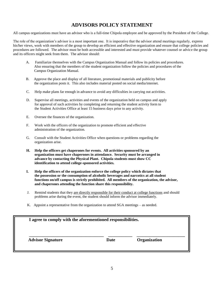#### **ADVISORS POLICY STATEMENT**

All campus organizations must have an advisor who is a full-time Chipola employee and be approved by the President of the College.

The role of the organization's advisor is a most important one. It is imperative that the advisor attend meetings regularly, express his/her views, work with members of the group to develop an efficient and effective organization and ensure that college policies and procedures are followed. The advisor must be both accessible and interested and must provide whatever counsel or advice the group and its officers might seek from them. The advisor should:

- A. Familiarize themselves with the Campus Organization Manual and follow its policies and procedures. Also ensuring that the members of the student organization follow the policies and procedures of the Campus Organization Manual.
- B. Approve the place and display of all literature, promotional materials and publicity before the organization posts it. This also includes material posted on social media/internet.
- C. Help make plans far enough in advance to avoid any difficulties in carrying out activities.
- D. Supervise all meetings, activities and events of the organization held on campus and apply for approval of such activities by completing and returning the student activity form to the Student Activities Office at least 15 business days prior to any activity.
- E. Oversee the finances of the organization.
- F. Work with the officers of the organization to promote efficient and effective administration of the organization.
- G. Consult with the Student Activities Office when questions or problems regarding the organization arise.
- **H. Help the officers get chaperones for events. All activities sponsored by an organization must have chaperones in attendance. Security must be arranged in advance by contacting the Physical Plant. Chipola students must show CC identification to attend college-sponsored activities.**
- **I. Help the officers of the organization enforce the college policy which dictates that the possession or the consumption of alcoholic beverages and narcotics at all student functions on/off campus is strictly prohibited. All members of the organization, the advisor, and chaperones attending the function share this responsibility.**
- J. Remind students that they are directly responsible for their conduct at college functions and should problems arise during the event, the student should inform the advisor immediately.
- K. Appoint a representative from the organization to attend SGA meetings as needed.

| I agree to comply with the aforementioned responsibilities. |             |              |
|-------------------------------------------------------------|-------------|--------------|
| <b>Advisor Signature</b>                                    | <b>Date</b> | Organization |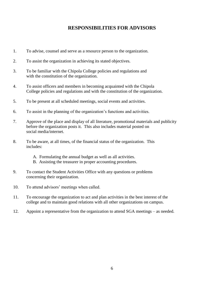# **RESPONSIBILITIES FOR ADVISORS**

- 1. To advise, counsel and serve as a resource person to the organization.
- 2. To assist the organization in achieving its stated objectives.
- 3. To be familiar with the Chipola College policies and regulations and with the constitution of the organization.
- 4. To assist officers and members in becoming acquainted with the Chipola College policies and regulations and with the constitution of the organization.
- 5. To be present at all scheduled meetings, social events and activities.
- 6. To assist in the planning of the organization's functions and activities.
- 7. Approve of the place and display of all literature, promotional materials and publicity before the organization posts it. This also includes material posted on social media/internet.
- 8. To be aware, at all times, of the financial status of the organization. This includes:
	- A. Formulating the annual budget as well as all activities.
	- B. Assisting the treasurer in proper accounting procedures.
- 9. To contact the Student Activities Office with any questions or problems concerning their organization.
- 10. To attend advisors' meetings when called.
- 11. To encourage the organization to act and plan activities in the best interest of the college and to maintain good relations with all other organizations on campus.
- 12. Appoint a representative from the organization to attend SGA meetings as needed.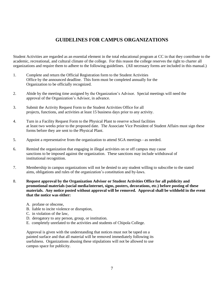# **GUIDELINES FOR CAMPUS ORGANIZATIONS**

Student Activities are regarded as an essential element in the total educational program at CC in that they contribute to the academic, recreational, and cultural climate of the college. For this reason the college reserves the right to charter all organizations and require them to adhere to the following guidelines. (All necessary forms are included in this manual.)

- 1. Complete and return the Official Registration form to the Student Activities Office by the announced deadline. This form must be completed annually for the Organization to be officially recognized.
- 2. Abide by the meeting time assigned by the Organization's Advisor. Special meetings will need the approval of the Organization's Advisor, in advance.
- 3. Submit the Activity Request Form to the Student Activities Office for all projects, functions, and activities at least 15 business days prior to any activity.
- 4. Turn in a Facility Request Form to the Physical Plant to reserve school facilities at least two weeks prior to the proposed date. The Associate Vice President of Student Affairs must sign these forms before they are sent to the Physical Plant.
- 5. Appoint a representative from the organization to attend SGA meetings as needed.
- 6. Remind the organization that engaging in illegal activities on or off campus may cause sanctions to be imposed against the organization. These sanctions may include withdrawal of institutional recognition.
- 7. Membership in campus organizations will not be denied to any student willing to subscribe to the stated aims, obligations and rules of the organization's constitution and by-laws.
- 8. **Request approval by the Organization Advisor or Student Activities Office for all publicity and promotional materials (social media/internet, signs, posters, decorations, etc.) before posting of these materials. Any notice posted without approval will be removed. Approval shall be withheld in the event that the notice was either:**
	- A. profane or obscene,
	- B. liable to incite violence or disruption,
	- C. in violation of the law,
	- D. derogatory to any person, group, or institution.
	- E. completely unrelated to the activities and students of Chipola College.

Approval is given with the understanding that notices must not be taped on a painted surface and that all material will be removed immediately following its usefulness. Organizations abusing these stipulations will not be allowed to use campus space for publicity.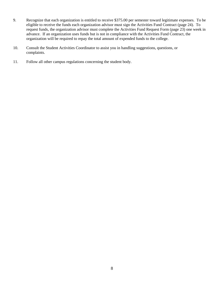- 9. Recognize that each organization is entitled to receive \$375.00 per semester toward legitimate expenses. To be eligible to receive the funds each organization advisor must sign the Activities Fund Contract (page 24). To request funds, the organization advisor must complete the Activities Fund Request Form (page 23) one week in advance. If an organization uses funds but is not in compliance with the Activities Fund Contract, the organization will be required to repay the total amount of expended funds to the college.
- 10. Consult the Student Activities Coordinator to assist you in handling suggestions, questions, or complaints.
- 11. Follow all other campus regulations concerning the student body.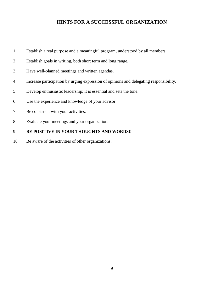#### **HINTS FOR A SUCCESSFUL ORGANIZATION**

- 1. Establish a real purpose and a meaningful program, understood by all members.
- 2. Establish goals in writing, both short term and long range.
- 3. Have well-planned meetings and written agendas.
- 4. Increase participation by urging expression of opinions and delegating responsibility.
- 5. Develop enthusiastic leadership; it is essential and sets the tone.
- 6. Use the experience and knowledge of your advisor.
- 7. Be consistent with your activities.
- 8. Evaluate your meetings and your organization.

#### 9. **BE POSITIVE IN YOUR THOUGHTS AND WORDS!!**

10. Be aware of the activities of other organizations.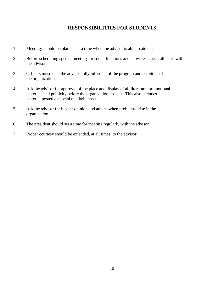#### **RESPONSIBILITIES FOR STUDENTS**

- 1. Meetings should be planned at a time when the advisor is able to attend.
- 2. Before scheduling special meetings or social functions and activities, check all dates with the advisor.
- 3. Officers must keep the advisor fully informed of the program and activities of the organization.
- 4. Ask the advisor for approval of the place and display of all literature, promotional materials and publicity before the organization posts it. This also includes material posted on social media/internet.
- 5. Ask the advisor for his/her opinion and advice when problems arise in the organization.
- 6. The president should set a time for meeting regularly with the advisor.
- 7. Proper courtesy should be extended, at all times, to the advisor.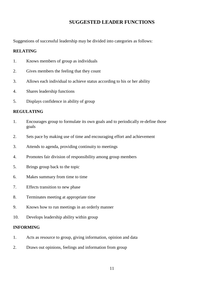#### **SUGGESTED LEADER FUNCTIONS**

Suggestions of successful leadership may be divided into categories as follows:

#### **RELATING**

- 1. Knows members of group as individuals
- 2. Gives members the feeling that they count
- 3. Allows each individual to achieve status according to his or her ability
- 4. Shares leadership functions
- 5. Displays confidence in ability of group

#### **REGULATING**

- 1. Encourages group to formulate its own goals and to periodically re-define those goals
- 2. Sets pace by making use of time and encouraging effort and achievement
- 3. Attends to agenda, providing continuity to meetings
- 4. Promotes fair division of responsibility among group members
- 5. Brings group back to the topic
- 6. Makes summary from time to time
- 7. Effects transition to new phase
- 8. Terminates meeting at appropriate time
- 9. Knows how to run meetings in an orderly manner
- 10. Develops leadership ability within group

#### **INFORMING**

- 1. Acts as resource to group, giving information, opinion and data
- 2. Draws out opinions, feelings and information from group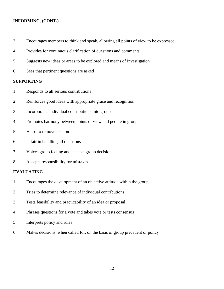#### **INFORMING, (CONT.)**

- 3. Encourages members to think and speak, allowing all points of view to be expressed
- 4. Provides for continuous clarification of questions and comments
- 5. Suggests new ideas or areas to be explored and means of investigation
- 6. Sees that pertinent questions are asked

#### **SUPPORTING**

- 1. Responds to all serious contributions
- 2. Reinforces good ideas with appropriate grace and recognition
- 3. Incorporates individual contributions into group
- 4. Promotes harmony between points of view and people in group
- 5. Helps to remove tension
- 6. Is fair in handling all questions
- 7. Voices group feeling and accepts group decision
- 8. Accepts responsibility for mistakes

#### **EVALUATING**

- 1. Encourages the development of an objective attitude within the group
- 2. Tries to determine relevance of individual contributions
- 3. Tests feasibility and practicability of an idea or proposal
- 4. Phrases questions for a vote and takes vote or tests consensus
- 5. Interprets policy and rules
- 6. Makes decisions, when called for, on the basis of group precedent or policy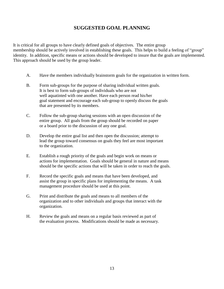# **SUGGESTED GOAL PLANNING**

It is critical for all groups to have clearly defined goals of objectives. The entire group membership should be actively involved in establishing these goals. This helps to build a feeling of "group" identity. In addition, specific means or actions should be developed to insure that the goals are implemented. This approach should be used by the group leader.

- A. Have the members individually brainstorm goals for the organization in written form.
- B. Form sub-groups for the purpose of sharing individual written goals. It is best to form sub-groups of individuals who are not well aquatinted with one another. Have each person read his/her goal statement and encourage each sub-group to openly discuss the goals that are presented by its members.
- C. Follow the sub-group sharing sessions with an open discussion of the entire group. All goals from the group should be recorded on paper or a board prior to the discussion of any one goal.
- D. Develop the entire goal list and then open the discussion; attempt to lead the group toward consensus on goals they feel are most important to the organization.
- E. Establish a rough priority of the goals and begin work on means or actions for implementation. Goals should be general in nature and means should be the specific actions that will be taken in order to reach the goals.
- F. Record the specific goals and means that have been developed, and assist the group in specific plans for implementing the means. A task management procedure should be used at this point.
- G. Print and distribute the goals and means to all members of the organization and to other individuals and groups that interact with the organization.
- H. Review the goals and means on a regular basis reviewed as part of the evaluation process. Modifications should be made as necessary.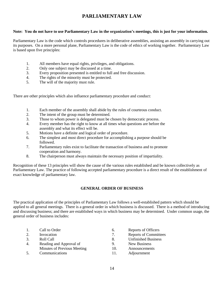## **PARLIAMENTARY LAW**

#### **Note: You do not have to use Parliamentary Law in the organization's meetings, this is just for your information.**

Parliamentary Law is the code which controls procedures in deliberative assemblies, assisting an assembly in carrying out its purposes. On a more personal plane, Parliamentary Law is the code of ethics of working together. Parliamentary Law is based upon five principles:

- 1. All members have equal rights, privileges, and obligations.
- 2. Only one subject may be discussed at a time.
- 3. Every proposition presented is entitled to full and free discussion.
- 4. The rights of the minority must be protected.
- 5. The will of the majority must rule.

There are other principles which also influence parliamentary procedure and conduct:

- 1. Each member of the assembly shall abide by the rules of courteous conduct.
- 2. The intent of the group must be determined.
- 3. Those to whom power is delegated must be chosen by democratic process.
- 4. Every member has the right to know at all times what questions are before the assembly and what its effect will be.
- 5. Motions have a definite and logical order of procedure.
- 6. The simplest and most direct procedure for accomplishing a purpose should be followed.
- 7. Parliamentary rules exist to facilitate the transaction of business and to promote cooperation and harmony.
- 8. The chairperson must always maintain the necessary position of impartiality.

Recognition of these 13 principles will show the cause of the various rules established and be known collectively as Parliamentary Law. The practice of following accepted parliamentary procedure is a direct result of the establishment of exact knowledge of parliamentary law.

#### **GENERAL ORDER OF BUSINESS**

The practical application of the principles of Parliamentary Law follows a well-established pattern which should be applied to all general meetings. There is a general order in which business is discussed. There is a method of introducing and discussing business; and there are established ways in which business may be determined. Under common usage, the general order of business includes:

| 1.<br>2.<br>3. | Call to Order<br>Invocation<br>Roll Call | 6.<br>7.<br>8. | Reports of Officers<br><b>Reports of Committees</b><br><b>Unfinished Business</b> |
|----------------|------------------------------------------|----------------|-----------------------------------------------------------------------------------|
|                |                                          |                |                                                                                   |
| 4.             | Reading and Approval of                  | 9              | New Business                                                                      |
|                | Minutes of Previous Meeting              | 10.            | Announcements                                                                     |
| 5.             | Communications                           | 11.            | Adjournment                                                                       |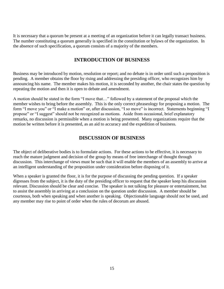It is necessary that a quorum be present at a meeting of an organization before it can legally transact business. The number constituting a quorum generally is specified in the constitution or bylaws of the organization. In the absence of such specification, a quorum consists of a majority of the members.

# **INTRODUCTION OF BUSINESS**

Business may be introduced by motion, resolution or report; and no debate is in order until such a proposition is pending. A member obtains the floor by rising and addressing the presiding officer, who recognizes him by announcing his name. The member makes his motion, it is seconded by another, the chair states the question by repeating the motion and then it is open to debate and amendment.

A motion should be stated in the form "I move that…" followed by a statement of the proposal which the member wishes to bring before the assembly. This is the only correct phraseology for proposing a motion. The form "I move you" or "I make a motion" or, after discussion, "I so move" is incorrect. Statements beginning "I propose" or "I suggest" should not be recognized as motions. Aside from occasional, brief explanatory remarks, no discussion is permissible when a motion is being presented. Many organizations require that the motion be written before it is presented, as an aid to accuracy and the expedition of business.

## **DISCUSSION OF BUSINESS**

The object of deliberative bodies is to formulate actions. For these actions to be effective, it is necessary to reach the mature judgment and decision of the group by means of free interchange of thought through discussion. This interchange of views must be such that it will enable the members of an assembly to arrive at an intelligent understanding of the proposition under consideration before disposing of it.

When a speaker is granted the floor, it is for the purpose of discussing the pending question. If a speaker digresses from the subject, it is the duty of the presiding officer to request that the speaker keep his discussion relevant. Discussion should be clear and concise. The speaker is not talking for pleasure or entertainment, but to assist the assembly in arriving at a conclusion on the question under discussion. A member should be courteous, both when speaking and when another is speaking. Objectionable language should not be used, and any member may rise to point of order when the rules of decorum are abused.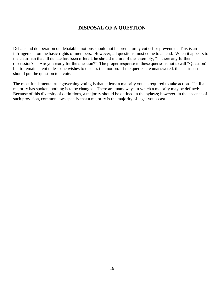# **DISPOSAL OF A QUESTION**

Debate and deliberation on debatable motions should not be prematurely cut off or prevented. This is an infringement on the basic rights of members. However, all questions must come to an end. When it appears to the chairman that all debate has been offered, he should inquire of the assembly, "Is there any further discussion?" "Are you ready for the question?" The proper response to these queries is not to call "Question!" but to remain silent unless one wishes to discuss the motion. If the queries are unanswered, the chairman should put the question to a vote.

The most fundamental rule governing voting is that at least a majority vote is required to take action. Until a majority has spoken, nothing is to be changed. There are many ways in which a majority may be defined: Because of this diversity of definitions, a majority should be defined in the bylaws; however, in the absence of such provision, common laws specify that a majority is the majority of legal votes cast.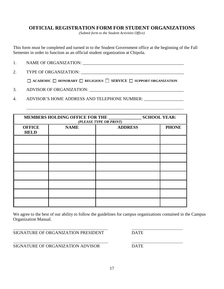## **OFFICIAL REGISTRATION FORM FOR STUDENT ORGANIZATIONS**

*(Submit form to the Student Activities Office)*

This form must be completed and turned in to the Student Government office at the beginning of the Fall Semester in order to function as an official student organization at Chipola.

- 1. NAME OF ORGANIZATION: \_\_\_\_\_\_\_\_\_\_\_\_\_\_\_\_\_\_\_\_\_\_\_\_\_\_\_\_\_\_\_\_\_\_\_\_\_\_\_\_\_\_\_\_\_\_
- 2. TYPE OF ORGANIZATION:

 **ACADEMIC HONORARY RELIGIOUS SERVICE SUPPORT ORGANIZATION** 

\_\_\_\_\_\_\_\_\_\_\_\_\_\_\_\_\_\_\_\_\_\_\_\_\_\_\_\_\_\_\_\_\_\_\_\_\_\_\_\_\_\_\_\_\_\_\_\_\_\_\_\_\_\_\_\_\_\_\_\_\_\_\_\_\_\_\_\_\_\_\_\_\_\_\_\_\_\_\_\_\_\_\_\_\_\_

3. ADVISOR OF ORGANIZATION: \_\_\_\_\_\_\_\_\_\_\_\_\_\_\_\_\_\_\_\_\_\_\_\_\_\_\_\_\_\_\_\_\_\_\_\_\_\_\_\_\_\_\_

4. ADVISOR'S HOME ADDRESS AND TELEPHONE NUMBER:

| <b>SCHOOL YEAR:</b><br>MEMBERS HOLDING OFFICE FOR THE<br>(PLEASE TYPE OR PRINT) |             |                |              |
|---------------------------------------------------------------------------------|-------------|----------------|--------------|
| <b>OFFICE</b><br><b>HELD</b>                                                    | <b>NAME</b> | <b>ADDRESS</b> | <b>PHONE</b> |
|                                                                                 |             |                |              |
|                                                                                 |             |                |              |
|                                                                                 |             |                |              |
|                                                                                 |             |                |              |
|                                                                                 |             |                |              |
|                                                                                 |             |                |              |
|                                                                                 |             |                |              |
|                                                                                 |             |                |              |

We agree to the best of our ability to follow the guidelines for campus organizations contained in the Campus Organization Manual.

\_\_\_\_\_\_\_\_\_\_\_\_\_\_\_\_\_\_\_\_\_\_\_\_\_\_\_\_\_\_\_\_\_\_\_\_\_\_\_\_\_\_\_\_\_\_\_\_\_\_\_\_ \_\_\_\_\_\_\_\_\_\_\_\_\_\_\_\_\_\_\_\_\_\_\_\_\_\_\_\_

\_\_\_\_\_\_\_\_\_\_\_\_\_\_\_\_\_\_\_\_\_\_\_\_\_\_\_\_\_\_\_\_\_\_\_\_\_\_\_\_\_\_\_\_\_\_\_\_\_\_\_\_ \_\_\_\_\_\_\_\_\_\_\_\_\_\_\_\_\_\_\_\_\_\_\_\_\_\_\_\_

SIGNATURE OF ORGANIZATION PRESIDENT DATE

SIGNATURE OF ORGANIZATION ADVISOR DATE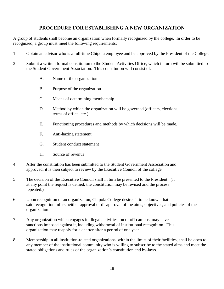# **PROCEDURE FOR ESTABLISHING A NEW ORGANIZATION**

A group of students shall become an organization when formally recognized by the college. In order to be recognized, a group must meet the following requirements:

- 1. Obtain an advisor who is a full-time Chipola employee and be approved by the President of the College.
- 2. Submit a written formal constitution to the Student Activities Office, which in turn will be submitted to the Student Government Association. This constitution will consist of:
	- A. Name of the organization
	- B. Purpose of the organization
	- C. Means of determining membership
	- D. Method by which the organization will be governed (officers, elections, terms of office, etc.)
	- E. Functioning procedures and methods by which decisions will be made.
	- F. Anti-hazing statement
	- G. Student conduct statement
	- H. Source of revenue
- 4. After the constitution has been submitted to the Student Government Association and approved, it is then subject to review by the Executive Council of the college.
- 5. The decision of the Executive Council shall in turn be presented to the President. (If at any point the request is denied, the constitution may be revised and the process repeated.)
- 6. Upon recognition of an organization, Chipola College desires it to be known that said recognition infers neither approval or disapproval of the aims, objectives, and policies of the organization.
- 7. Any organization which engages in illegal activities, on or off campus, may have sanctions imposed against it, including withdrawal of institutional recognition. This organization may reapply for a charter after a period of one year.
- 8. Membership in all institution-related organizations, within the limits of their facilities, shall be open to any member of the institutional community who is willing to subscribe to the stated aims and meet the stated obligations and rules of the organization's constitution and by-laws.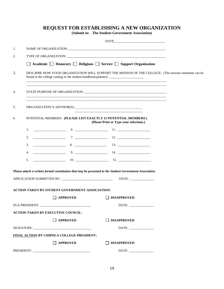#### **REQUEST FOR ESTABLISHING A NEW ORGANIZATION**

**(Submit to: The Student Government Association)**

| 1. |                                                        |                                                                                                                                                                                                                                                    |  |
|----|--------------------------------------------------------|----------------------------------------------------------------------------------------------------------------------------------------------------------------------------------------------------------------------------------------------------|--|
| 2. |                                                        |                                                                                                                                                                                                                                                    |  |
|    |                                                        | $\Box$ Academic $\Box$ Honorary $\Box$ Religious $\Box$ Service $\Box$ Support Organization                                                                                                                                                        |  |
| 3. |                                                        | DESCRIBE HOW YOUR ORGANIZATION WILL SUPPORT THE MISSION OF THE COLLEGE. (The mission statement can be<br>found in the college catalog or the student handbook/planner): __________________<br><u> 1980 - Johann Barn, fransk politik (f. 1980)</u> |  |
| 4. |                                                        |                                                                                                                                                                                                                                                    |  |
| 5. |                                                        |                                                                                                                                                                                                                                                    |  |
| 6. |                                                        | POTENTIAL MEMBERS: (PLEASE LIST EXACTLY 15 POTENTIAL MEMBERS.)<br>(Please Print or Type your selections.)                                                                                                                                          |  |
|    |                                                        |                                                                                                                                                                                                                                                    |  |
|    | 2.                                                     | $7.$ $12.$ $12.$                                                                                                                                                                                                                                   |  |
|    | 3.                                                     |                                                                                                                                                                                                                                                    |  |
|    | 4.                                                     |                                                                                                                                                                                                                                                    |  |
|    |                                                        | 5. $\qquad \qquad$ 10. $\qquad \qquad$ 15. $\qquad \qquad$                                                                                                                                                                                         |  |
|    |                                                        | Please attach a written formal constitution that may be presented to the Student Government Association.                                                                                                                                           |  |
|    |                                                        |                                                                                                                                                                                                                                                    |  |
|    | <b>ACTION TAKEN BY STUDENT GOVERNMENT ASSOCIATION:</b> |                                                                                                                                                                                                                                                    |  |
|    | <b>APPROVED</b>                                        | <b>DISAPPROVED</b>                                                                                                                                                                                                                                 |  |
|    |                                                        |                                                                                                                                                                                                                                                    |  |
|    | <b>ACTION TAKEN BY EXECUTIVE COUNCIL:</b>              |                                                                                                                                                                                                                                                    |  |
|    | $\Box$ APPROVED                                        | <b>DISAPPROVED</b>                                                                                                                                                                                                                                 |  |
|    |                                                        |                                                                                                                                                                                                                                                    |  |
|    | FINAL ACTION BY CHIPOLA COLLEGE PRESIDENT:             |                                                                                                                                                                                                                                                    |  |
|    | <b>APPROVED</b>                                        | <b>DISAPPROVED</b>                                                                                                                                                                                                                                 |  |
|    |                                                        | $\text{DATE:}\underline{\hspace{1.5cm}}$                                                                                                                                                                                                           |  |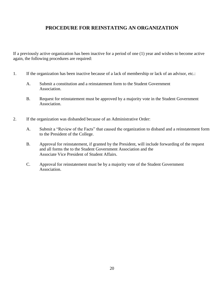# **PROCEDURE FOR REINSTATING AN ORGANIZATION**

If a previously active organization has been inactive for a period of one (1) year and wishes to become active again, the following procedures are required:

- 1. If the organization has been inactive because of a lack of membership or lack of an advisor, etc.:
	- A. Submit a constitution and a reinstatement form to the Student Government Association.
	- B. Request for reinstatement must be approved by a majority vote in the Student Government Association.
- 2. If the organization was disbanded because of an Administrative Order:
	- A. Submit a "Review of the Facts" that caused the organization to disband and a reinstatement form to the President of the College.
	- B. Approval for reinstatement, if granted by the President, will include forwarding of the request and all forms the to the Student Government Association and the Associate Vice President of Student Affairs.
	- C. Approval for reinstatement must be by a majority vote of the Student Government Association.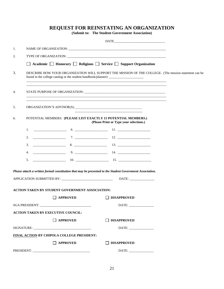#### **REQUEST FOR REINSTATING AN ORGANIZATION**

**(Submit to: The Student Government Association)**

|    |                                                        | $\text{DATE}\_$                                                                                           |  |
|----|--------------------------------------------------------|-----------------------------------------------------------------------------------------------------------|--|
| 1. |                                                        |                                                                                                           |  |
| 2. |                                                        |                                                                                                           |  |
|    |                                                        | $\Box$ Academic $\Box$ Honorary $\Box$ Religious $\Box$ Service $\Box$ Support Organization               |  |
| 3. |                                                        | DESCRIBE HOW YOUR ORGANIZATION WILL SUPPORT THE MISSION OF THE COLLEGE. (The mission statement can be     |  |
| 4. |                                                        |                                                                                                           |  |
| 5. |                                                        |                                                                                                           |  |
| 6. |                                                        | POTENTIAL MEMBERS: (PLEASE LIST EXACTLY 15 POTENTIAL MEMBERS.)<br>(Please Print or Type your selections.) |  |
|    |                                                        |                                                                                                           |  |
|    |                                                        |                                                                                                           |  |
|    | 3.                                                     |                                                                                                           |  |
|    |                                                        |                                                                                                           |  |
|    |                                                        |                                                                                                           |  |
|    |                                                        | Please attach a written formal constitution that may be presented to the Student Government Association.  |  |
|    |                                                        |                                                                                                           |  |
|    | <b>ACTION TAKEN BY STUDENT GOVERNMENT ASSOCIATION:</b> |                                                                                                           |  |
|    | $\Box$ APPROVED                                        | DISAPPROVED                                                                                               |  |
|    |                                                        |                                                                                                           |  |
|    | <b>ACTION TAKEN BY EXECUTIVE COUNCIL:</b>              |                                                                                                           |  |
|    | $\Box$ APPROVED                                        | <b>DISAPPROVED</b>                                                                                        |  |
|    |                                                        |                                                                                                           |  |
|    | FINAL ACTION BY CHIPOLA COLLEGE PRESIDENT:             |                                                                                                           |  |
|    | $\Box$ APPROVED                                        | $\Box$ DISAPPROVED                                                                                        |  |
|    |                                                        |                                                                                                           |  |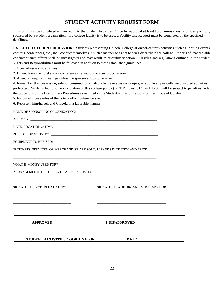# **STUDENT ACTIVITY REQUEST FORM**

This form must be completed and turned in to the Student Activities Office for approval **at least 15 business days** prior to any activity sponsored by a student organization. If a college facility is to be used, a Facility Use Request must be completed by the specified deadlines.

**EXPECTED STUDENT BEHAVIOR:** Students representing Chipola College at on/off-campus activities such as sporting events, contests, conferences, etc., shall conduct themselves in such a manner so as not to bring discredit to the college. Reports of unacceptable conduct at such affairs shall be investigated and may result in disciplinary action. All rules and regulations outlined in the Student Rights and Responsibilities must be followed in addition to these established guidelines:

1. Obey advisor(s) at all times.

2. Do not leave the hotel and/or conference site without advisor's permission.

3. Attend all required meetings unless the sponsor allows otherwise.

4. Remember that possession, sale, or consumption of alcoholic beverages on campus, or at off-campus college-sponsored activities is prohibited. Students found to be in violation of this college policy (BOT Policies 3.370 and 4.280) will be subject to penalties under the provisions of the Disciplinary Procedures as outlined in the Student Rights & Responsibilities, Code of Conduct.

5. Follow all house rules of the hotel and/or conference site.

6. Represent him/herself and Chipola in a favorable manner.

| STUDENT ACTIVITIES COORDINATOR                                              | <b>DATE</b>                           |  |
|-----------------------------------------------------------------------------|---------------------------------------|--|
| <b>APPROVED</b>                                                             | <b>DISAPPROVED</b>                    |  |
|                                                                             |                                       |  |
| SIGNATURES OF THREE CHAPERONS:                                              | SIGNATURE(S) OF ORGANIZATION ADVISOR: |  |
| ARRANGEMENTS FOR CLEAN UP AFTER ACTIVITY:                                   |                                       |  |
|                                                                             |                                       |  |
| IF TICKETS, SERVICES, OR MERCHANDISE ARE SOLD, PLEASE STATE ITEM AND PRICE. |                                       |  |
|                                                                             |                                       |  |
|                                                                             |                                       |  |
|                                                                             |                                       |  |
|                                                                             |                                       |  |
|                                                                             |                                       |  |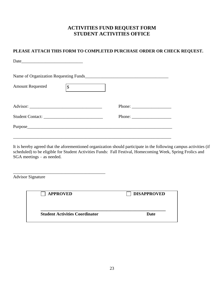# **ACTIVITIES FUND REQUEST FORM STUDENT ACTIVITIES OFFICE**

#### **PLEASE ATTACH THIS FORM TO COMPLETED PURCHASE ORDER OR CHECK REQUEST.**

| <b>Amount Requested</b> | $\mathbb{S}$ |                                                                                                                                                                                                                                                                                                                                                                                                              |  |
|-------------------------|--------------|--------------------------------------------------------------------------------------------------------------------------------------------------------------------------------------------------------------------------------------------------------------------------------------------------------------------------------------------------------------------------------------------------------------|--|
|                         |              |                                                                                                                                                                                                                                                                                                                                                                                                              |  |
|                         |              | Phone: $\qquad \qquad$                                                                                                                                                                                                                                                                                                                                                                                       |  |
|                         |              | Phone: $\frac{1}{\sqrt{1-\frac{1}{2}}\sqrt{1-\frac{1}{2}}\sqrt{1-\frac{1}{2}}\sqrt{1-\frac{1}{2}}\sqrt{1-\frac{1}{2}}\sqrt{1-\frac{1}{2}}\sqrt{1-\frac{1}{2}}\sqrt{1-\frac{1}{2}}\sqrt{1-\frac{1}{2}}\sqrt{1-\frac{1}{2}}\sqrt{1-\frac{1}{2}}\sqrt{1-\frac{1}{2}}\sqrt{1-\frac{1}{2}}\sqrt{1-\frac{1}{2}}\sqrt{1-\frac{1}{2}}\sqrt{1-\frac{1}{2}}\sqrt{1-\frac{1}{2}}\sqrt{1-\frac{1}{2}}\sqrt{1-\frac{1}{2$ |  |
|                         |              | Purpose                                                                                                                                                                                                                                                                                                                                                                                                      |  |

\_\_\_\_\_\_\_\_\_\_\_\_\_\_\_\_\_\_\_\_\_\_\_\_\_\_\_\_\_\_\_\_\_\_\_\_\_\_\_\_\_\_\_\_\_\_\_\_\_\_\_\_\_\_\_\_\_\_\_\_\_\_\_\_\_\_\_\_\_\_\_\_

It is hereby agreed that the aforementioned organization should participate in the following campus activities (if scheduled) to be eligible for Student Activities Funds: Fall Festival, Homecoming Week, Spring Frolics and SGA meetings – as needed.

Advisor Signature

\_\_\_\_\_\_\_\_\_\_\_\_\_\_\_\_\_\_\_\_\_\_\_\_\_\_\_\_\_\_\_\_\_\_\_\_\_\_\_\_\_\_

| <b>APPROVED</b>                       | <b>DISAPPROVED</b> |
|---------------------------------------|--------------------|
| <b>Student Activities Coordinator</b> | Date               |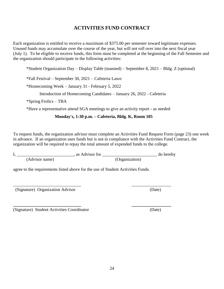# 24

# **ACTIVITIES FUND CONTRACT**

Each organization is entitled to receive a maximum of \$375.00 per semester toward legitimate expenses. Unused funds may accumulate over the course of the year, but will not roll over into the next fiscal year (July 1). To be eligible to receive funds, this form must be completed at the beginning of the Fall Semester and the organization should participate in the following activities:

\*Student Organization Day – Display Table (manned) – September 8, 2021 – Bldg. Z (optional)

\*Fall Festival – September 30, 2021 – Cafeteria Lawn

\*Homecoming Week – January 31 - February 5, 2022

Introduction of Homecoming Candidates – January 26, 2022 - Cafeteria

\*Spring Frolics – TBA

\*Have a representative attend SGA meetings to give an activity report - as needed

#### **Monday's, 1:30 p.m. – Cafeteria, Bldg. K, Room 105**

To request funds, the organization advisor must complete an Activities Fund Request Form (page 23) one week in advance. If an organization uses funds but is not in compliance with the Activities Fund Contract, the organization will be required to repay the total amount of expended funds to the college.

|                | as Advisor for |                | do hereby |
|----------------|----------------|----------------|-----------|
| (Advisor name) |                | (Organization) |           |

\_\_\_\_\_\_\_\_\_\_\_\_\_\_\_\_\_\_\_\_\_\_\_\_\_\_\_\_\_\_\_ \_\_\_\_\_\_\_\_\_\_\_\_\_\_\_\_\_\_

agree to the requirements listed above for the use of Student Activities Funds.

(Signature) Organization Advisor (Date)

**\_\_\_\_\_\_\_\_\_\_\_\_\_\_\_\_\_\_\_\_\_\_\_\_\_\_\_\_\_\_\_ \_\_\_\_\_\_\_\_\_\_\_\_\_\_\_\_\_\_** (Signature) Student Activities Coordinator (Date)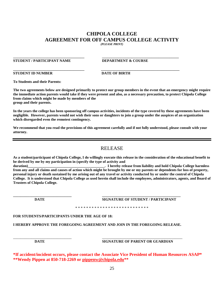# **CHIPOLA COLLEGE AGREEMENT FOR OFF CAMPUS COLLEGE ACTIVITY**

*(PLEASE PRINT)*

**\_\_\_\_\_\_\_\_\_\_\_\_\_\_\_\_\_\_\_\_\_\_\_\_\_\_\_\_\_\_\_\_\_\_\_\_\_\_\_ \_\_\_\_\_\_\_\_\_\_\_\_\_\_\_\_\_\_\_\_\_\_\_\_\_\_\_\_\_\_\_\_\_\_\_\_\_\_\_\_\_\_**

**STUDENT / PARTICIPANT NAME DEPARTMENT & COURSE**

**STUDENT ID NUMBER DATE OF BIRTH** 

**\_\_\_\_\_\_\_\_\_\_\_\_\_\_\_\_\_\_\_\_\_\_\_\_\_\_\_\_\_\_\_\_\_\_\_\_\_\_\_ \_\_\_\_\_\_\_\_\_\_\_\_\_\_\_\_\_\_\_\_\_\_\_\_\_\_\_\_\_\_\_\_\_\_\_\_\_\_\_\_\_\_\_**

**To Students and their Parents:**

**The two agreements below are designed primarily to protect our group members in the event that an emergency might require the immediate action parents would take if they were present and also, as a necessary precaution, to protect Chipola College from claims which might be made by members of the group and their parents.**

**In the years the college has been sponsoring off campus activities, incidents of the type covered by these agreements have been negligible. However, parents would not wish their sons or daughters to join a group under the auspices of an organization which disregarded even the remotest contingency.**

**We recommend that you read the provisions of this agreement carefully and if not fully understood, please consult with your attorney.**

#### RELEASE

**As a student/participant of Chipola College, I do willingly execute this release in the consideration of the educational benefit to be derived by me by my participation in (specify the type of activity and** 

**duration)\_\_\_\_\_\_\_\_\_\_\_\_\_\_\_\_\_\_\_\_\_\_\_\_\_\_\_\_\_\_\_\_\_\_\_\_\_\_\_\_\_\_. I hereby release from liability and hold Chipola College harmless from any and all claims and causes of action which might be brought by me or my parents or dependents for loss of property, personal injury or death sustained by me arising out of any travel or activity conducted by or under the control of Chipola College. It is understood that Chipola College as used herein shall include the employees, administrators, agents, and Board of Trustees of Chipola College.**

**\_\_\_\_\_\_\_\_\_\_\_\_\_\_\_\_\_\_\_\_\_\_\_\_\_\_\_\_\_\_\_\_ \_\_\_\_\_\_\_\_\_\_\_\_\_\_\_\_\_\_\_\_\_\_\_\_\_\_\_\_\_\_\_\_\_\_\_\_\_\_\_\_\_\_\_ DATE SIGNATURE OF STUDENT / PARTICIPANT**

\* \* \* \* \* \* \* \* \* \* \* \* \* \* \* \* \* \* \* \* \* \* \* \* \* \* \*

**FOR STUDENTS/PARTICIPANTS UNDER THE AGE OF 18:**

**I HEREBY APPROVE THE FOREGOING AGREEMENT AND JOIN IN THE FOREGOING RELEASE.**

\_\_\_\_\_\_\_\_\_\_\_\_\_\_\_\_\_\_\_\_\_\_\_\_\_\_\_\_\_\_\_\_ \_\_\_\_\_\_\_\_\_\_\_\_\_\_\_\_\_\_\_\_\_\_\_\_\_\_\_\_\_\_\_\_\_\_\_\_\_\_\_\_\_\_\_\_ **DATE SIGNATURE OF PARENT OR GUARDIAN**

**\*If accident/incident occurs, please contact the Associate Vice President of Human Resources ASAP\* \*\*Wendy Pippen at 850-718-2269 or [pippenw@chipola.edu\\*](mailto:pippenw@chipola.edu)\***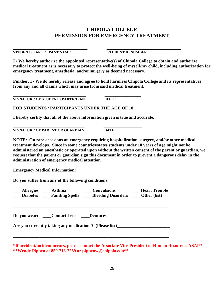#### **CHIPOLA COLLEGE PERMISSION FOR EMERGENCY TREATMENT**

**STUDENT / PARTICIPANT NAME STUDENT ID NUMBER** 

**\_\_\_\_\_\_\_\_\_\_\_\_\_\_\_\_\_\_\_\_\_\_\_\_\_\_\_\_\_ \_\_\_\_\_\_\_\_\_\_\_\_\_\_\_\_\_\_\_\_\_\_\_\_\_\_\_\_\_**

**I / We hereby authorize the appointed representative(s) of Chipola College to obtain and authorize medical treatment as is necessary to protect the well-being of myself/my child, including authorization for emergency treatment, anesthesia, and/or surgery as deemed necessary.** 

**Further, I / We do hereby release and agree to hold harmless Chipola College and its representatives from any and all claims which may arise from said medical treatment.**

**\_\_\_\_\_\_\_\_\_\_\_\_\_\_\_\_\_\_\_\_\_\_\_\_\_\_\_\_\_\_\_\_\_\_\_\_\_\_\_\_ \_\_\_\_\_\_\_\_\_\_\_\_\_\_\_\_\_\_\_\_ SIGNATURE OF STUDENT / PARTICIPANT DATE** 

**FOR STUDENTS / PARTICIPANTS UNDER THE AGE OF 18:**

**I hereby certify that all of the above information given is true and accurate.**

**\_\_\_\_\_\_\_\_\_\_\_\_\_\_\_\_\_\_\_\_\_\_\_\_\_\_\_\_\_\_\_\_\_\_\_\_\_\_\_ \_\_\_\_\_\_\_\_\_\_\_\_\_\_\_\_\_\_\_\_\_ SIGNATURE OF PARENT OR GUARDIAN DATE**

**NOTE: On rare occasions an emergency requiring hospitalization, surgery, and/or other medical treatment develops. Since in some countries/states students under 18 years of age might not be administered an anesthetic or operated upon without the written consent of the parent or guardian, we request that the parent or guardian sign this document in order to prevent a dangerous delay in the administration of emergency medical attention.** 

**Emergency Medical Information:**

**Do you suffer from any of the following conditions:**

| <b>Allergies</b> | Asthma                                   | <b>Convulsions</b><br>Diabetes Fainting Spells Bleeding Disorders                                  | <b>Heart Trouble</b><br><b>Other</b> (list) |  |
|------------------|------------------------------------------|----------------------------------------------------------------------------------------------------|---------------------------------------------|--|
|                  | Do you wear: Contact Lens _____ Dentures |                                                                                                    |                                             |  |
|                  |                                          | Are you currently taking any medications? (Please list)__________________________                  |                                             |  |
|                  |                                          | *If accident/incident occurs, please contact the Associate Vice President of Human Resources ASAP* |                                             |  |

**\*\*Wendy Pippen at 850-718-2269 or [pippenw@chipola.edu\\*](mailto:pippenw@chipola.edu)\***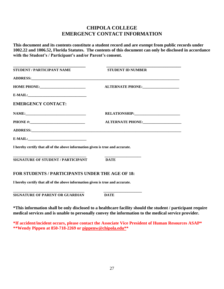# **CHIPOLA COLLEGE EMERGENCY CONTACT INFORMATION**

**This document and its contents constitute a student record and are exempt from public records under 1002.22 and 1006.52, Florida Statutes. The contents of this document can only be disclosed in accordance with the Student's / Participant's and/or Parent's consent.**

| <b>STUDENT / PARTICIPANT NAME</b>                                              | <b>STUDENT ID NUMBER</b> |
|--------------------------------------------------------------------------------|--------------------------|
|                                                                                |                          |
|                                                                                |                          |
|                                                                                |                          |
| <b>EMERGENCY CONTACT:</b>                                                      |                          |
|                                                                                |                          |
|                                                                                | <b>ALTERNATE PHONE:</b>  |
| ADDRESS: ADDRESS:                                                              |                          |
|                                                                                |                          |
| I hereby certify that all of the above information given is true and accurate. |                          |
| SIGNATURE OF STUDENT / PARTICIPANT                                             | <b>DATE</b>              |
| <b>FOR STUDENTS / PARTICIPANTS UNDER THE AGE OF 18:</b>                        |                          |
| I hereby certify that all of the above information given is true and accurate. |                          |

**\_\_\_\_\_\_\_\_\_\_\_\_\_\_\_\_\_\_\_\_\_\_\_\_\_\_\_\_\_\_\_\_\_\_\_\_\_\_\_ \_\_\_\_\_\_\_\_\_\_\_\_\_\_\_\_\_\_\_\_\_ SIGNATURE OF PARENT OR GUARDIAN DATE**

**\*This information shall be only disclosed to a healthcare facility should the student / participant require medical services and is unable to personally convey the information to the medical service provider.**

**\*If accident/incident occurs, please contact the Associate Vice President of Human Resources ASAP\* \*\*Wendy Pippen at 850-718-2269 or [pippenw@chipola.edu\\*](mailto:pippenw@chipola.edu)\***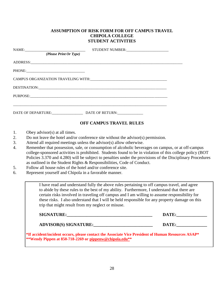#### **ASSUMPTION OF RISK FORM FOR OFF CAMPUS TRAVEL CHIPOLA COLLEGE STUDENT ACTIVITIES**

|          |                                   | STUDENT NUMBER:                                                                                                                                                                                                                |
|----------|-----------------------------------|--------------------------------------------------------------------------------------------------------------------------------------------------------------------------------------------------------------------------------|
|          | (Please Print Or Type)            |                                                                                                                                                                                                                                |
|          |                                   |                                                                                                                                                                                                                                |
|          |                                   |                                                                                                                                                                                                                                |
|          |                                   |                                                                                                                                                                                                                                |
|          |                                   |                                                                                                                                                                                                                                |
|          |                                   | PURPOSE: New York Contact the Contact of the Contact of the Contact of the Contact of the Contact of the Contact of the Contact of the Contact of the Contact of the Contact of the Contact of the Contact of the Contact of t |
|          |                                   |                                                                                                                                                                                                                                |
|          |                                   |                                                                                                                                                                                                                                |
|          |                                   | <b>OFF CAMPUS TRAVEL RULES</b>                                                                                                                                                                                                 |
| 1.<br>2. | Obey advisor( $s$ ) at all times. | Do not leave the hotel and/or conference site without the advisor(s) permission.                                                                                                                                               |

- 3. Attend all required meetings unless the advisor(s) allow otherwise.
- 4. Remember that possession, sale, or consumption of alcoholic beverages on campus, or at off-campus college-sponsored activities is prohibited. Students found to be in violation of this college policy (BOT Policies 3.370 and 4.280) will be subject to penalties under the provisions of the Disciplinary Procedures as outlined in the Student Rights & Responsibilities, Code of Conduct.
- 5. Follow all house rules of the hotel and/or conference site.
- 6. Represent yourself and Chipola in a favorable manner.

I have read and understand fully the above rules pertaining to off campus travel, and agree to abide by these rules to the best of my ability. Furthermore, I understand that there are certain risks involved in traveling off campus and I am willing to assume responsibility for these risks. I also understand that I will be held responsible for any property damage on this trip that might result from my neglect or misuse.

| <b>SIGNATURE:</b>            | DATE: |
|------------------------------|-------|
| <b>ADVISOR(S) SIGNATURE:</b> | DATE: |

**\*If accident/incident occurs, please contact the Associate Vice President of Human Resources ASAP\* \*\*Wendy Pippen at 850-718-2269 or [pippenw@chipola.edu\\*](mailto:pippenw@chipola.edu)\***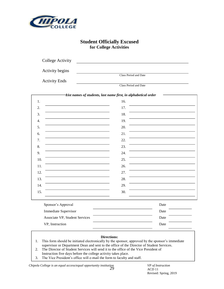

# **Student Officially Excused for College Activities**

| <b>College Activity</b>                 |                                                                              |
|-----------------------------------------|------------------------------------------------------------------------------|
| Activity begins<br><b>Activity Ends</b> | Class Period and Date<br>Class Period and Date                               |
|                                         |                                                                              |
|                                         | <i><b>List names of students, last name first, in alphabetical order</b></i> |
| 1.                                      | 16.                                                                          |
| 2.                                      | 17.                                                                          |
| 3.                                      | 18.                                                                          |
| 4.                                      | 19.                                                                          |
| 5.                                      | 20.                                                                          |
| 6.                                      | 21.                                                                          |
| 7.                                      | 22.                                                                          |
| 8.                                      | 23.                                                                          |
| 9.                                      | 24.                                                                          |
| 10.                                     | 25.                                                                          |
| 11.                                     | 26.                                                                          |
| 12.                                     | 27.                                                                          |
| 13.                                     | 28.                                                                          |
| 14.                                     | 29.                                                                          |
| 15.                                     | 30.                                                                          |
| Sponsor's Approval                      | Date                                                                         |
| <b>Immediate Supervisor</b>             | Date                                                                         |
| Associate VP, Student Services          | Date                                                                         |
| VP, Instruction                         | Date                                                                         |
|                                         |                                                                              |

#### **Directions:**

- 1. This form should be initiated electronically by the sponsor, approved by the sponsor's immediate supervisor or Department Dean and sent to the office of the Director of Student Services.
- 2. The Director of Student Services will send it to the office of the Vice President of
- Instruction five days before the college activity takes place.
- 3. The Vice President's office will e-mail the form to faculty and staff.

ACD 11 Revised: Spring, 2019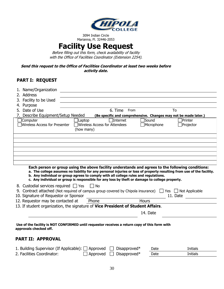

#### 3094 Indian Circle Marianna, Fl. 32446-2053

# **Facility Use Request**

Before filling out this form, check availability of facility with the Office of Facilities Coordinator (Extension 2254).

**Send this request to the Office of Facilities Coordinator at least two weeks before activity date.**

#### **PART I: REQUEST**

| 1. Name/Organization                                                                                                                                                                                                                                                                                                                                                                                                |                               |                 |              |                                                                 |
|---------------------------------------------------------------------------------------------------------------------------------------------------------------------------------------------------------------------------------------------------------------------------------------------------------------------------------------------------------------------------------------------------------------------|-------------------------------|-----------------|--------------|-----------------------------------------------------------------|
| 2. Address                                                                                                                                                                                                                                                                                                                                                                                                          |                               |                 |              |                                                                 |
| Facility to be Used<br>3.                                                                                                                                                                                                                                                                                                                                                                                           |                               |                 |              |                                                                 |
| Purpose<br>4.                                                                                                                                                                                                                                                                                                                                                                                                       |                               |                 |              |                                                                 |
| 5. Date of Use                                                                                                                                                                                                                                                                                                                                                                                                      |                               | 6. Time<br>From |              | To                                                              |
| 7. Describe Equipment/Setup Needed                                                                                                                                                                                                                                                                                                                                                                                  |                               |                 |              | (Be specific and comprehensive. Changes may not be made later.) |
| Computer                                                                                                                                                                                                                                                                                                                                                                                                            | Laptop                        | <b>Internet</b> | Sound        | lPrinter                                                        |
| Wireless Access for Presenter                                                                                                                                                                                                                                                                                                                                                                                       | Wireless Access for Attendees |                 | Microphone   | Projector                                                       |
|                                                                                                                                                                                                                                                                                                                                                                                                                     | (how many)                    |                 |              |                                                                 |
|                                                                                                                                                                                                                                                                                                                                                                                                                     |                               |                 |              |                                                                 |
|                                                                                                                                                                                                                                                                                                                                                                                                                     |                               |                 |              |                                                                 |
|                                                                                                                                                                                                                                                                                                                                                                                                                     |                               |                 |              |                                                                 |
|                                                                                                                                                                                                                                                                                                                                                                                                                     |                               |                 |              |                                                                 |
|                                                                                                                                                                                                                                                                                                                                                                                                                     |                               |                 |              |                                                                 |
|                                                                                                                                                                                                                                                                                                                                                                                                                     |                               |                 |              |                                                                 |
| Each person or group using the above facility understands and agrees to the following conditions:<br>a. The college assumes no liability for any personal injuries or loss of property resulting from use of the facility.<br>b. Any individual or group agrees to comply with all college rules and regulations.<br>c. Any individual or group is responsible for any loss by theft or damage to college property. |                               |                 |              |                                                                 |
| 8. Custodial services required □ Yes                                                                                                                                                                                                                                                                                                                                                                                | No                            |                 |              |                                                                 |
| Contract attached (Not required of campus group covered by Chipola insurance) □ Yes □ Not Applicable                                                                                                                                                                                                                                                                                                                |                               |                 |              |                                                                 |
| 10. Signature of Requestor or Sponsor                                                                                                                                                                                                                                                                                                                                                                               |                               |                 |              | 11. Date                                                        |
| 12. Requestor may be contacted at Phone                                                                                                                                                                                                                                                                                                                                                                             |                               |                 | <b>Hours</b> |                                                                 |
| 13. If student organization, the signature of Vice President of Student Affairs.                                                                                                                                                                                                                                                                                                                                    |                               |                 |              |                                                                 |
|                                                                                                                                                                                                                                                                                                                                                                                                                     |                               |                 | 14. Date     |                                                                 |
| Use of the facility is NOT CONFIRMED until requestor receives a return copy of this form with<br>approvals checked off.                                                                                                                                                                                                                                                                                             |                               |                 |              |                                                                 |

# **PART II: APPROVAL**

| 1. Building Supervisor (If Applicable): $\Box$ Approved $\Box$ Disapproved* |                                     | Date | Initials |
|-----------------------------------------------------------------------------|-------------------------------------|------|----------|
| 2. Facilities Coordinator:                                                  | $\Box$ Approved $\Box$ Disapproved* | Date | Initials |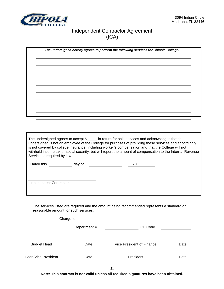

# Independent Contractor Agreement (ICA)

| Service as required by law.<br>Independent Contractor |             | is not covered by college insurance, including worker's compensation and that the College will not<br>withhold income tax or social security, but will report the amount of compensation to the Internal Revenue |      |
|-------------------------------------------------------|-------------|------------------------------------------------------------------------------------------------------------------------------------------------------------------------------------------------------------------|------|
| reasonable amount for such services.                  |             | The services listed are required and the amount being recommended represents a standard or                                                                                                                       |      |
|                                                       | Charge to:  |                                                                                                                                                                                                                  |      |
|                                                       | Department# | <b>GL Code</b>                                                                                                                                                                                                   |      |
| <b>Budget Head</b>                                    | Date        | Vice President of Finance                                                                                                                                                                                        | Date |

**Note: This contract is not valid unless all required signatures have been obtained.**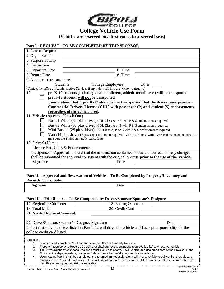

**Part I - REQUEST - TO BE COMPLETED BY TRIP SPONSOR**

| 1. Date of Request                |                                                                                                       |  |  |
|-----------------------------------|-------------------------------------------------------------------------------------------------------|--|--|
| 2. Organization                   |                                                                                                       |  |  |
| 3. Purpose of Trip                |                                                                                                       |  |  |
| 4. Destination                    |                                                                                                       |  |  |
| 5. Departure Date                 | 6. Time                                                                                               |  |  |
| 7. Return Date                    | 8. Time                                                                                               |  |  |
| 9. Number to be transported       |                                                                                                       |  |  |
|                                   | <b>Students</b><br>College Employees<br>Other                                                         |  |  |
|                                   | (Contact the office of Administrative Services if any riders fall into the "Other" category.)         |  |  |
| 10.                               | pre K-12 students (including dual-enrollment, athletic recruits etc.) will be transported.            |  |  |
|                                   | pre K-12 students will not be transported.                                                            |  |  |
|                                   | I understand that if pre K-12 students are transported that the driver must possess a                 |  |  |
|                                   | Commercial Drivers License (CDL) with passenger (P) and student (S) endorsements                      |  |  |
|                                   | regardless of the vehicle used.                                                                       |  |  |
| 11. Vehicle requested (Check One) |                                                                                                       |  |  |
|                                   | Bus #1 White (35 plus driver) CDL Class A or B with P & S endorsements required.                      |  |  |
|                                   | Bus #2 White (37 plus driver) CDL Class A or B with P & S endorsements required.                      |  |  |
|                                   | Mini-Bus #4 (25 plus driver) CDL Class A, B or C with P $\&$ S endorsements required.                 |  |  |
|                                   | Van (14 plus driver) 5 passenger minimum required. CDL A, B, or C with P & S endorsements required to |  |  |
|                                   | transport pre-K through grade 12 students                                                             |  |  |
| 12. Driver's Name:                |                                                                                                       |  |  |
|                                   | License No., Class & Endorsements:                                                                    |  |  |
|                                   | 13. Sponsor's Approval. I attest that the information contained is true and correct and any changes   |  |  |
|                                   | shall be submitted for approval consistent with the original process prior to the use of the vehicle. |  |  |
| Signature                         | Date                                                                                                  |  |  |
|                                   |                                                                                                       |  |  |

#### **Part II - Approval and Reservation of Vehicle – To Be Completed by Property/Inventory and Records Coordinator**

Signature Date

#### **Part III – Trip Report – To Be Completed by Driver/Sponsor/Sponsor's Designee**

| .<br><b>THE WALL</b><br>To be completed by Briver/Sponsor/Sponsor s Designee                     |                                                                                                                          |  |  |
|--------------------------------------------------------------------------------------------------|--------------------------------------------------------------------------------------------------------------------------|--|--|
| 17. Beginning Odometer                                                                           | 18. Ending Odometer                                                                                                      |  |  |
| 19. Total Miles                                                                                  | 20. Credit Card                                                                                                          |  |  |
| 21. Needed Repairs/Comments                                                                      |                                                                                                                          |  |  |
|                                                                                                  |                                                                                                                          |  |  |
| 22. Driver/Sponsor/Sponsor's Designee Signature                                                  | Date                                                                                                                     |  |  |
|                                                                                                  | I attest that only the driver listed in Part I, 12 will drive the vehicle and I accept responsibility for the            |  |  |
| college credit card listed.                                                                      |                                                                                                                          |  |  |
|                                                                                                  |                                                                                                                          |  |  |
| Directions:<br>Sponsor shall complete Part I and turn into the Office of Property Records.<br>1. |                                                                                                                          |  |  |
| 2.                                                                                               | Property/Inventory and Records Coordinator shall approve (contingent upon availability) and reserve vehicle.             |  |  |
| 3.                                                                                               | The Driver/Sponsor/Sponsor's Designee must pick up this form, keys, vehicle and gas credit card at the Physical Plant    |  |  |
|                                                                                                  | Office on the departure date, or sooner if departure is before/after normal business hours.                              |  |  |
| Δ                                                                                                | Linon return. Part III shall be completed and returned immediately, along with keys vehicle, credit card and credit card |  |  |

4. Upon return, Part III shall be completed and returned immediately, along with keys, vehicle, credit card and credit card receipts to the Physical Plant office. If it is outside of normal business hours all items must be returned immediately upon the office opening on the next business day.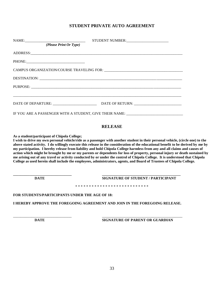#### **STUDENT PRIVATE AUTO AGREEMENT**

|                        | STUDENT NUMBER:                                                                  |
|------------------------|----------------------------------------------------------------------------------|
| (Please Print Or Type) |                                                                                  |
|                        |                                                                                  |
|                        |                                                                                  |
|                        |                                                                                  |
|                        |                                                                                  |
|                        |                                                                                  |
|                        |                                                                                  |
|                        |                                                                                  |
|                        | IF YOU ARE A PASSENGER WITH A STUDENT, GIVE THEIR NAME: ________________________ |
|                        | <b>RELEASE</b>                                                                   |

**As a student/participant of Chipola College;** 

**I wish to drive my own personal vehicle/ride as a passenger with another student in their personal vehicle, (circle one) to the above stated activity. I do willingly execute this release in the consideration of the educational benefit to be derived by me by my participation. I hereby release from liability and hold Chipola College harmless from any and all claims and causes of action which might be brought by me or my parents or dependents for loss of property, personal injury or death sustained by me arising out of any travel or activity conducted by or under the control of Chipola College. It is understood that Chipola College as used herein shall include the employees, administrators, agents, and Board of Trustees of Chipola College.**

**DATE SIGNATURE OF STUDENT / PARTICIPANT**

\* \* \* \* \* \* \* \* \* \* \* \* \* \* \* \* \* \* \* \* \* \* \* \* \* \* \*

**FOR STUDENTS/PARTICIPANTS UNDER THE AGE OF 18:**

**I HEREBY APPROVE THE FOREGOING AGREEMENT AND JOIN IN THE FOREGOING RELEASE.**

\_\_\_\_\_\_\_\_\_\_\_\_\_\_\_\_\_\_\_\_\_\_\_\_\_\_\_\_\_\_\_\_ \_\_\_\_\_\_\_\_\_\_\_\_\_\_\_\_\_\_\_\_\_\_\_\_\_\_\_\_\_\_\_\_\_\_\_\_\_\_\_\_\_\_\_\_

**\_\_\_\_\_\_\_\_\_\_\_\_\_\_\_\_\_\_\_\_\_\_\_\_\_\_\_\_\_\_\_\_ \_\_\_\_\_\_\_\_\_\_\_\_\_\_\_\_\_\_\_\_\_\_\_\_\_\_\_\_\_\_\_\_\_\_\_\_\_\_\_\_\_\_\_** 

**DATE SIGNATURE OF PARENT OR GUARDIAN**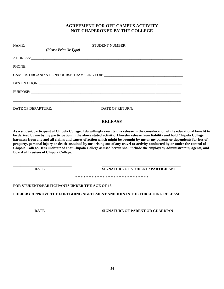#### **AGREEMENT FOR OFF-CAMPUS ACTIVITY NOT CHAPERONED BY THE COLLEGE**

|                                                       | STUDENT NUMBER: VALUE AND THE STUDENT NUMBER:                                                                                                                                                                                                                                                                                                                                                                                                                                                                                                                                                                                                                       |  |
|-------------------------------------------------------|---------------------------------------------------------------------------------------------------------------------------------------------------------------------------------------------------------------------------------------------------------------------------------------------------------------------------------------------------------------------------------------------------------------------------------------------------------------------------------------------------------------------------------------------------------------------------------------------------------------------------------------------------------------------|--|
| (Please Print Or Type)                                |                                                                                                                                                                                                                                                                                                                                                                                                                                                                                                                                                                                                                                                                     |  |
| ADDRESS: ADDRESS:                                     |                                                                                                                                                                                                                                                                                                                                                                                                                                                                                                                                                                                                                                                                     |  |
| PHONE:                                                |                                                                                                                                                                                                                                                                                                                                                                                                                                                                                                                                                                                                                                                                     |  |
|                                                       |                                                                                                                                                                                                                                                                                                                                                                                                                                                                                                                                                                                                                                                                     |  |
|                                                       |                                                                                                                                                                                                                                                                                                                                                                                                                                                                                                                                                                                                                                                                     |  |
|                                                       | PURPOSE:                                                                                                                                                                                                                                                                                                                                                                                                                                                                                                                                                                                                                                                            |  |
|                                                       |                                                                                                                                                                                                                                                                                                                                                                                                                                                                                                                                                                                                                                                                     |  |
|                                                       |                                                                                                                                                                                                                                                                                                                                                                                                                                                                                                                                                                                                                                                                     |  |
|                                                       | <b>RELEASE</b>                                                                                                                                                                                                                                                                                                                                                                                                                                                                                                                                                                                                                                                      |  |
| <b>Board of Trustees of Chipola College.</b>          | As a student/participant of Chipola College, I do willingly execute this release in the consideration of the educational benefit to<br>be derived by me by my participation in the above stated activity. I hereby release from liability and hold Chipola College<br>harmless from any and all claims and causes of action which might be brought by me or my parents or dependents for loss of<br>property, personal injury or death sustained by me arising out of any travel or activity conducted by or under the control of<br>Chipola College. It is understood that Chipola College as used herein shall include the employees, administrators, agents, and |  |
| <b>DATE</b>                                           | <b>SIGNATURE OF STUDENT / PARTICIPANT</b>                                                                                                                                                                                                                                                                                                                                                                                                                                                                                                                                                                                                                           |  |
|                                                       |                                                                                                                                                                                                                                                                                                                                                                                                                                                                                                                                                                                                                                                                     |  |
| <b>FOR STUDENTS/PARTICIPANTS UNDER THE AGE OF 18:</b> |                                                                                                                                                                                                                                                                                                                                                                                                                                                                                                                                                                                                                                                                     |  |
|                                                       | I HEREBY APPROVE THE FOREGOING AGREEMENT AND JOIN IN THE FOREGOING RELEASE.                                                                                                                                                                                                                                                                                                                                                                                                                                                                                                                                                                                         |  |
| <b>DATE</b>                                           | <b>SIGNATURE OF PARENT OR GUARDIAN</b>                                                                                                                                                                                                                                                                                                                                                                                                                                                                                                                                                                                                                              |  |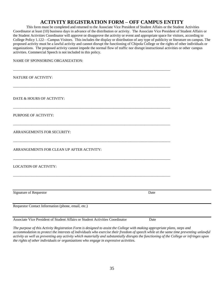#### **ACTIVITY REGISTRATION FORM – OFF CAMPUS ENTITY**

This form must be completed and returned to the Associate Vice President of Student Affairs or the Student Activities Coordinator at least (10) business days in advance of the distribution or activity. The Associate Vice President of Student Affairs or the Student Activities Coordinator will approve or disapprove the activity or event and appropriate space for visitors, according to College Policy 1.122—Campus Visitors. This includes the display or distribution of any type of publicity or literature on campus. The proposed activity must be a lawful activity and cannot disrupt the functioning of Chipola College or the rights of other individuals or organizations. The proposed activity cannot impede the normal flow of traffic nor disrupt instructional activities or other campus activities. Commercial Speech is not included in this policy.

\_\_\_\_\_\_\_\_\_\_\_\_\_\_\_\_\_\_\_\_\_\_\_\_\_\_\_\_\_\_\_\_\_\_\_\_\_\_\_\_\_\_\_\_\_\_\_\_\_\_\_\_\_\_\_\_\_\_\_\_\_\_\_\_\_\_\_\_\_\_\_\_\_\_\_\_\_\_\_\_\_\_\_\_\_\_

\_\_\_\_\_\_\_\_\_\_\_\_\_\_\_\_\_\_\_\_\_\_\_\_\_\_\_\_\_\_\_\_\_\_\_\_\_\_\_\_\_\_\_\_\_\_\_\_\_\_\_\_\_\_\_\_\_\_\_\_\_\_\_\_\_\_\_\_\_\_\_\_\_\_\_\_\_\_\_\_\_\_\_\_\_\_

\_\_\_\_\_\_\_\_\_\_\_\_\_\_\_\_\_\_\_\_\_\_\_\_\_\_\_\_\_\_\_\_\_\_\_\_\_\_\_\_\_\_\_\_\_\_\_\_\_\_\_\_\_\_\_\_\_\_\_\_\_\_\_\_\_\_\_\_\_\_\_\_\_\_\_\_\_\_\_\_\_\_\_\_\_\_

\_\_\_\_\_\_\_\_\_\_\_\_\_\_\_\_\_\_\_\_\_\_\_\_\_\_\_\_\_\_\_\_\_\_\_\_\_\_\_\_\_\_\_\_\_\_\_\_\_\_\_\_\_\_\_\_\_\_\_\_\_\_\_\_\_\_\_\_\_\_\_\_\_\_\_\_\_\_\_\_\_\_\_\_\_\_

\_\_\_\_\_\_\_\_\_\_\_\_\_\_\_\_\_\_\_\_\_\_\_\_\_\_\_\_\_\_\_\_\_\_\_\_\_\_\_\_\_\_\_\_\_\_\_\_\_\_\_\_\_\_\_\_\_\_\_\_\_\_\_\_\_\_\_\_\_\_\_\_\_\_\_\_\_\_\_\_\_\_\_\_\_\_

\_\_\_\_\_\_\_\_\_\_\_\_\_\_\_\_\_\_\_\_\_\_\_\_\_\_\_\_\_\_\_\_\_\_\_\_\_\_\_\_\_\_\_\_\_\_\_\_\_\_\_\_\_\_\_\_\_\_\_\_\_\_\_\_\_\_\_\_\_\_\_\_\_\_\_\_\_\_\_\_\_\_\_\_\_\_

\_\_\_\_\_\_\_\_\_\_\_\_\_\_\_\_\_\_\_\_\_\_\_\_\_\_\_\_\_\_\_\_\_\_\_\_\_\_\_\_\_\_\_\_\_\_\_\_\_\_\_\_\_\_\_\_\_\_\_\_\_\_\_\_\_\_\_\_\_\_\_\_\_\_\_\_\_\_\_\_\_\_\_\_\_\_

NAME OF SPONSORING ORGANIZATION:

NATURE OF ACTIVITY:

DATE & HOURS OF ACTIVITY:

PURPOSE OF ACTIVITY:

ARRANGEMENTS FOR SECURITY:

ARRANGEMENTS FOR CLEAN UP AFTER ACTIVITY:

LOCATION OF ACTIVITY:

Signature of Requestor Date and Security 2012 12:30 and 2012 12:30 and 2012 12:30 and 2012 12:30 and 2012 12:30 and 2013 12:30 and 2013 12:30 and 2013 12:30 and 2013 12:30 and 2013 12:30 and 2013 12:30 and 2013 12:30 and 2

Requestor Contact Information (phone, email, etc.)

Associate Vice President of Student Affairs or Student Activities Coordinator Date

*The purpose of this Activity Registration Form is designed to assist the College with making appropriate plans, steps and accommodation to protect the interests of individuals who exercise their freedom of speech while at the same time preventing unlawful activity as well as preventing any activity which materially and substantially disrupts the functioning of the College or infringes upon the rights of other individuals or organizations who engage in expressive activities.*